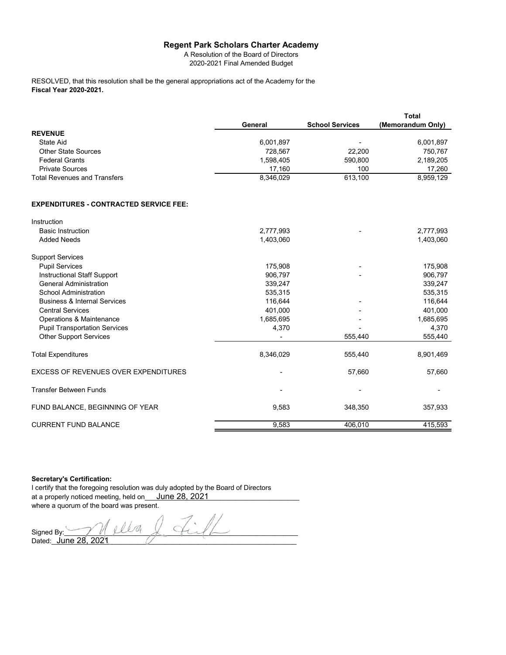## **Regent Park Scholars Charter Academy**

A Resolution of the Board of Directors 2020-2021 Final Amended Budget

**Fiscal Year 2020-2021.** RESOLVED, that this resolution shall be the general appropriations act of the Academy for the

|                                               |           |                        | <b>Total</b>      |
|-----------------------------------------------|-----------|------------------------|-------------------|
|                                               | General   | <b>School Services</b> | (Memorandum Only) |
| <b>REVENUE</b>                                |           |                        |                   |
| <b>State Aid</b>                              | 6,001,897 |                        | 6,001,897         |
| <b>Other State Sources</b>                    | 728,567   | 22,200                 | 750,767           |
| <b>Federal Grants</b>                         | 1,598,405 | 590,800                | 2,189,205         |
| <b>Private Sources</b>                        | 17,160    | 100                    | 17,260            |
| <b>Total Revenues and Transfers</b>           | 8,346,029 | 613,100                | 8,959,129         |
| <b>EXPENDITURES - CONTRACTED SERVICE FEE:</b> |           |                        |                   |
| Instruction                                   |           |                        |                   |
| <b>Basic Instruction</b>                      | 2,777,993 |                        | 2,777,993         |
| <b>Added Needs</b>                            | 1,403,060 |                        | 1,403,060         |
| <b>Support Services</b>                       |           |                        |                   |
| <b>Pupil Services</b>                         | 175,908   |                        | 175,908           |
| <b>Instructional Staff Support</b>            | 906,797   |                        | 906,797           |
| <b>General Administration</b>                 | 339,247   |                        | 339,247           |
| <b>School Administration</b>                  | 535,315   |                        | 535,315           |
| <b>Business &amp; Internal Services</b>       | 116,644   |                        | 116,644           |
| <b>Central Services</b>                       | 401,000   |                        | 401,000           |
| Operations & Maintenance                      | 1,685,695 |                        | 1,685,695         |
| <b>Pupil Transportation Services</b>          | 4,370     |                        | 4,370             |
| <b>Other Support Services</b>                 |           | 555,440                | 555,440           |
| <b>Total Expenditures</b>                     | 8,346,029 | 555,440                | 8,901,469         |
| <b>EXCESS OF REVENUES OVER EXPENDITURES</b>   |           | 57,660                 | 57,660            |
| <b>Transfer Between Funds</b>                 |           |                        |                   |
| FUND BALANCE, BEGINNING OF YEAR               | 9,583     | 348,350                | 357,933           |
| <b>CURRENT FUND BALANCE</b>                   | 9.583     | 406.010                | 415,593           |

### **Secretary's Certification:**

I certify that the foregoing resolution was duly adopted by the Board of Directors at a properly noticed meeting, held on\_\_\_ <u>June 28, 2021\_\_\_\_\_\_\_\_\_\_\_\_\_\_\_\_\_\_\_\_\_\_\_</u>\_\_ where a quorum of the board was present.

Signed By: Dated:\_\_\_\_\_\_\_\_\_\_\_\_\_\_\_\_\_\_\_\_\_\_\_\_\_\_\_\_\_\_\_\_\_\_\_\_\_\_\_\_\_\_\_\_\_\_\_\_\_\_\_\_\_\_\_\_\_\_\_\_\_\_\_\_\_ June 28, 2021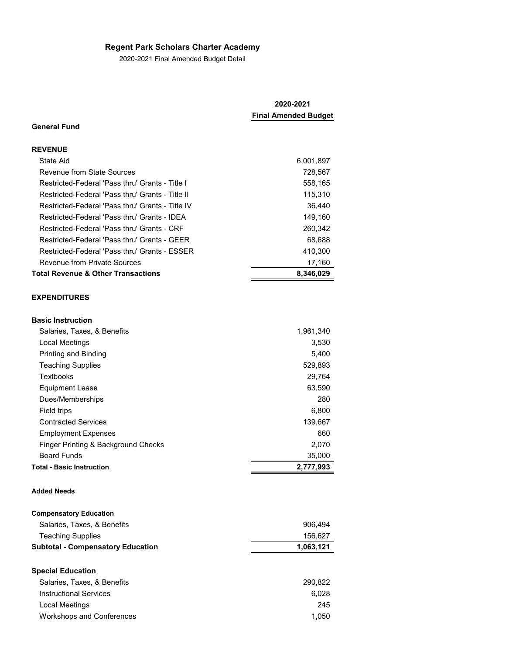# **Regent Park Scholars Charter Academy**

2020-2021 Final Amended Budget Detail

| 2020-2021<br><b>Final Amended Budget</b> |  |
|------------------------------------------|--|
|                                          |  |
|                                          |  |
| 6,001,897                                |  |
| 728,567                                  |  |
| 558,165                                  |  |
| 115,310                                  |  |
| 36,440                                   |  |
| 149,160                                  |  |
| 260,342                                  |  |
| 68,688                                   |  |
| 410,300                                  |  |
| 17,160                                   |  |
| 8,346,029                                |  |
|                                          |  |

| <b>Basic Instruction</b>            |           |
|-------------------------------------|-----------|
| Salaries, Taxes, & Benefits         | 1,961,340 |
| Local Meetings                      | 3,530     |
| <b>Printing and Binding</b>         | 5.400     |
| <b>Teaching Supplies</b>            | 529,893   |
| Textbooks                           | 29,764    |
| Equipment Lease                     | 63,590    |
| Dues/Memberships                    | 280       |
| Field trips                         | 6,800     |
| <b>Contracted Services</b>          | 139,667   |
| <b>Employment Expenses</b>          | 660       |
| Finger Printing & Background Checks | 2.070     |
| <b>Board Funds</b>                  | 35,000    |
| <b>Total - Basic Instruction</b>    | 2,777,993 |

### **Added Needs**

| <b>Compensatory Education</b>            |           |
|------------------------------------------|-----------|
| Salaries, Taxes, & Benefits              | 906,494   |
| <b>Teaching Supplies</b>                 | 156,627   |
| <b>Subtotal - Compensatory Education</b> | 1,063,121 |
|                                          |           |
| <b>Special Education</b>                 |           |
| Salaries, Taxes, & Benefits              | 290,822   |
| Instructional Services                   | 6.028     |
| Local Meetings                           | 245       |

Workshops and Conferences 1,050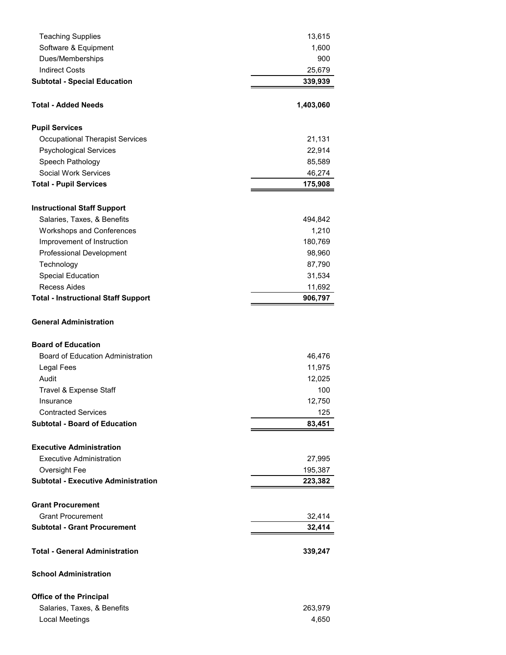| <b>Teaching Supplies</b>                   | 13,615    |
|--------------------------------------------|-----------|
| Software & Equipment                       | 1,600     |
| Dues/Memberships                           | 900       |
| <b>Indirect Costs</b>                      | 25,679    |
| <b>Subtotal - Special Education</b>        | 339,939   |
|                                            |           |
| <b>Total - Added Needs</b>                 | 1,403,060 |
| <b>Pupil Services</b>                      |           |
| <b>Occupational Therapist Services</b>     | 21,131    |
| <b>Psychological Services</b>              | 22,914    |
| Speech Pathology                           | 85,589    |
| Social Work Services                       | 46,274    |
| <b>Total - Pupil Services</b>              | 175,908   |
| <b>Instructional Staff Support</b>         |           |
| Salaries, Taxes, & Benefits                | 494,842   |
| Workshops and Conferences                  | 1,210     |
| Improvement of Instruction                 | 180,769   |
| Professional Development                   | 98,960    |
| Technology                                 | 87,790    |
| <b>Special Education</b>                   | 31,534    |
| <b>Recess Aides</b>                        | 11,692    |
| <b>Total - Instructional Staff Support</b> | 906,797   |
| <b>General Administration</b>              |           |
| <b>Board of Education</b>                  |           |
| <b>Board of Education Administration</b>   | 46,476    |
| Legal Fees                                 | 11,975    |
| Audit                                      | 12,025    |
| Travel & Expense Staff                     | 100       |
| Insurance                                  | 12,750    |
| <b>Contracted Services</b>                 | 125       |
| <b>Subtotal - Board of Education</b>       | 83,451    |
| <b>Executive Administration</b>            |           |
| <b>Executive Administration</b>            | 27,995    |
| Oversight Fee                              | 195,387   |
| <b>Subtotal - Executive Administration</b> | 223,382   |
|                                            |           |
| <b>Grant Procurement</b>                   |           |
| <b>Grant Procurement</b>                   | 32,414    |
| <b>Subtotal - Grant Procurement</b>        | 32,414    |
| <b>Total - General Administration</b>      | 339,247   |
| <b>School Administration</b>               |           |
| <b>Office of the Principal</b>             |           |
| Salaries, Taxes, & Benefits                | 263,979   |
| <b>Local Meetings</b>                      | 4,650     |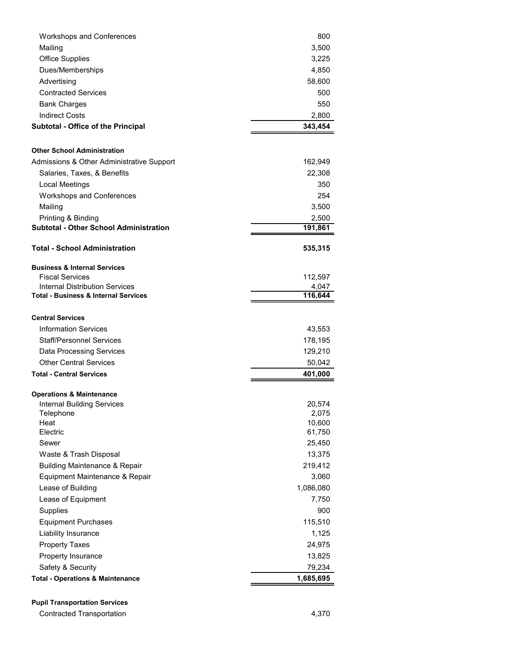| <b>Workshops and Conferences</b>                | 800       |
|-------------------------------------------------|-----------|
| Mailing                                         | 3,500     |
| <b>Office Supplies</b>                          | 3,225     |
| Dues/Memberships                                | 4,850     |
| Advertising                                     | 58,600    |
| <b>Contracted Services</b>                      | 500       |
| <b>Bank Charges</b>                             | 550       |
| <b>Indirect Costs</b>                           | 2,800     |
| Subtotal - Office of the Principal              | 343,454   |
|                                                 |           |
| <b>Other School Administration</b>              |           |
| Admissions & Other Administrative Support       | 162,949   |
| Salaries, Taxes, & Benefits                     | 22,308    |
| Local Meetings                                  | 350       |
| <b>Workshops and Conferences</b>                | 254       |
| Mailing                                         | 3,500     |
| Printing & Binding                              | 2,500     |
| <b>Subtotal - Other School Administration</b>   | 191,861   |
| <b>Total - School Administration</b>            | 535,315   |
| <b>Business &amp; Internal Services</b>         |           |
| <b>Fiscal Services</b>                          | 112,597   |
| Internal Distribution Services                  | 4,047     |
| <b>Total - Business &amp; Internal Services</b> | 116,644   |
|                                                 |           |
| <b>Central Services</b>                         |           |
| <b>Information Services</b>                     | 43,553    |
| <b>Staff/Personnel Services</b>                 | 178,195   |
| Data Processing Services                        | 129,210   |
| <b>Other Central Services</b>                   | 50,042    |
| <b>Total - Central Services</b>                 | 401,000   |
| <b>Operations &amp; Maintenance</b>             |           |
| Internal Building Services                      | 20,574    |
| Telephone                                       | 2,075     |
| Heat                                            | 10,600    |
| Electric                                        | 61,750    |
| Sewer                                           | 25,450    |
| Waste & Trash Disposal                          | 13,375    |
| <b>Building Maintenance &amp; Repair</b>        | 219,412   |
| Equipment Maintenance & Repair                  | 3,060     |
| Lease of Building                               | 1,086,080 |
| Lease of Equipment                              | 7,750     |
| Supplies                                        | 900       |
| <b>Equipment Purchases</b>                      | 115,510   |
| Liability Insurance                             | 1,125     |
| <b>Property Taxes</b>                           | 24,975    |
| Property Insurance                              | 13,825    |
| Safety & Security                               | 79,234    |
| <b>Total - Operations &amp; Maintenance</b>     | 1,685,695 |

**Pupil Transportation Services**

Contracted Transportation **4,370**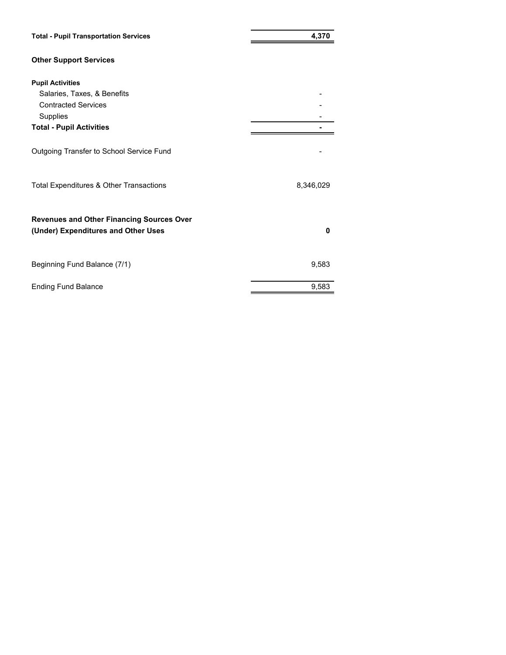| <b>Total - Pupil Transportation Services</b>                                            | 4,370     |  |  |
|-----------------------------------------------------------------------------------------|-----------|--|--|
| <b>Other Support Services</b>                                                           |           |  |  |
| <b>Pupil Activities</b>                                                                 |           |  |  |
| Salaries, Taxes, & Benefits                                                             |           |  |  |
| <b>Contracted Services</b>                                                              |           |  |  |
| Supplies                                                                                |           |  |  |
| <b>Total - Pupil Activities</b>                                                         |           |  |  |
| Outgoing Transfer to School Service Fund                                                |           |  |  |
| Total Expenditures & Other Transactions                                                 | 8,346,029 |  |  |
| <b>Revenues and Other Financing Sources Over</b><br>(Under) Expenditures and Other Uses | O         |  |  |
| Beginning Fund Balance (7/1)                                                            | 9,583     |  |  |
| <b>Ending Fund Balance</b>                                                              | 9,583     |  |  |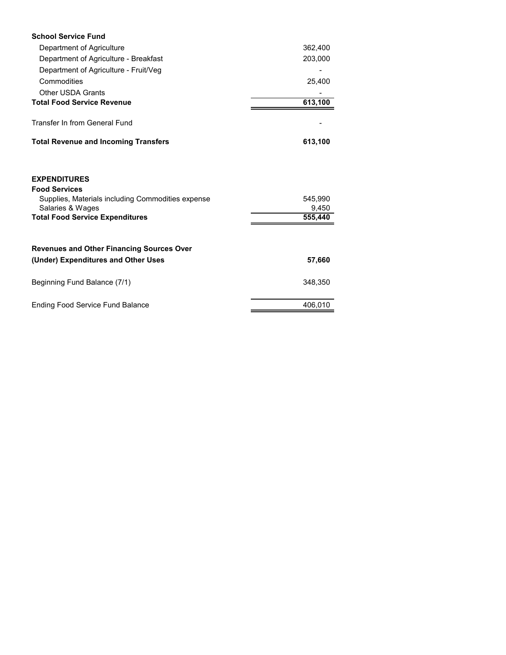| <b>School Service Fund</b>                                                                                           |                  |
|----------------------------------------------------------------------------------------------------------------------|------------------|
| Department of Agriculture                                                                                            | 362,400          |
| Department of Agriculture - Breakfast                                                                                | 203,000          |
| Department of Agriculture - Fruit/Veg                                                                                |                  |
| Commodities                                                                                                          | 25,400           |
| <b>Other USDA Grants</b>                                                                                             |                  |
| <b>Total Food Service Revenue</b>                                                                                    | 613,100          |
| Transfer In from General Fund                                                                                        |                  |
| <b>Total Revenue and Incoming Transfers</b>                                                                          | 613,100          |
| <b>EXPENDITURES</b><br><b>Food Services</b><br>Supplies, Materials including Commodities expense<br>Salaries & Wages | 545,990<br>9,450 |
| <b>Total Food Service Expenditures</b>                                                                               | 555,440          |
| <b>Revenues and Other Financing Sources Over</b>                                                                     |                  |
| (Under) Expenditures and Other Uses                                                                                  | 57,660           |
| Beginning Fund Balance (7/1)                                                                                         | 348,350          |
| <b>Ending Food Service Fund Balance</b>                                                                              | 406,010          |